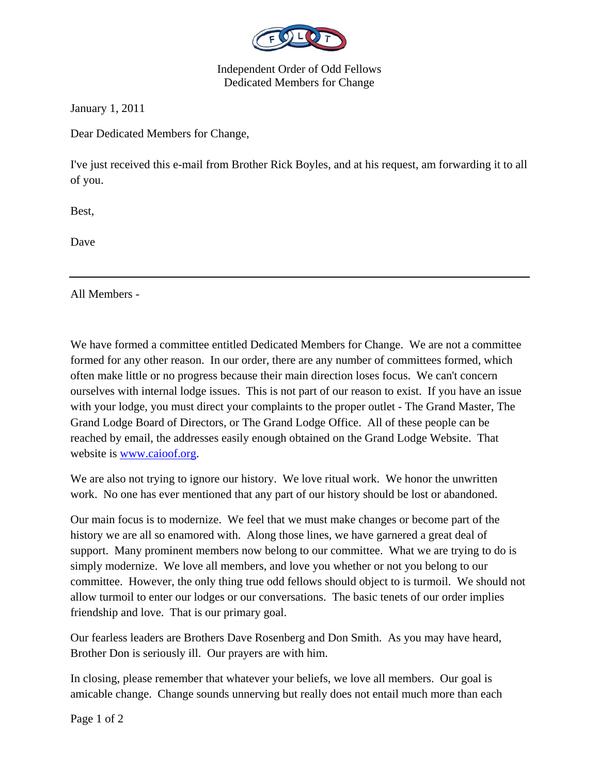

Independent Order of Odd Fellows Dedicated Members for Change

January 1, 2011

Dear Dedicated Members for Change,

I've just received this e-mail from Brother Rick Boyles, and at his request, am forwarding it to all of you.

Best,

Dave

All Members -

We have formed a committee entitled Dedicated Members for Change. We are not a committee formed for any other reason. In our order, there are any number of committees formed, which often make little or no progress because their main direction loses focus. We can't concern ourselves with internal lodge issues. This is not part of our reason to exist. If you have an issue with your lodge, you must direct your complaints to the proper outlet - The Grand Master, The Grand Lodge Board of Directors, or The Grand Lodge Office. All of these people can be reached by email, the addresses easily enough obtained on the Grand Lodge Website. That website is www.caioof.org.

We are also not trying to ignore our history. We love ritual work. We honor the unwritten work. No one has ever mentioned that any part of our history should be lost or abandoned.

Our main focus is to modernize. We feel that we must make changes or become part of the history we are all so enamored with. Along those lines, we have garnered a great deal of support. Many prominent members now belong to our committee. What we are trying to do is simply modernize. We love all members, and love you whether or not you belong to our committee. However, the only thing true odd fellows should object to is turmoil. We should not allow turmoil to enter our lodges or our conversations. The basic tenets of our order implies friendship and love. That is our primary goal.

Our fearless leaders are Brothers Dave Rosenberg and Don Smith. As you may have heard, Brother Don is seriously ill. Our prayers are with him.

In closing, please remember that whatever your beliefs, we love all members. Our goal is amicable change. Change sounds unnerving but really does not entail much more than each

Page 1 of 2